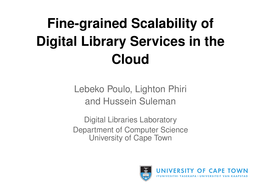# **Fine-grained Scalability of Digital Library Services in the Cloud**

Lebeko Poulo, Lighton Phiri and Hussein Suleman

Digital Libraries Laboratory Department of Computer Science University of Cape Town

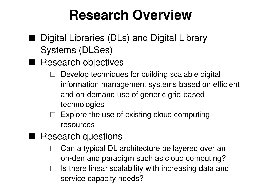## **Research Overview**

- Digital Libraries (DLs) and Digital Library Systems (DLSes)
- Research objectives
	- Develop techniques for building scalable digital information management systems based on efficient and on-demand use of generic grid-based technologies
	- $\Box$  Explore the use of existing cloud computing resources
- Research questions
	- Can a typical DL architecture be layered over an on-demand paradigm such as cloud computing?
	- $\Box$  Is there linear scalability with increasing data and service capacity needs?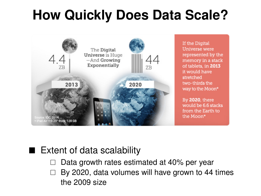## **How Quickly Does Data Scale?**



If the Digital Universe were represented by the memory in a stack of tablets, in 2013 it would have stretched two-thirds the way to the Moon\*

By 2020, there would be 6.6 stacks from the Earth to the Moon\*

#### Extent of data scalability

- Data growth rates estimated at 40% per year
- By 2020, data volumes will have grown to 44 times the 2009 size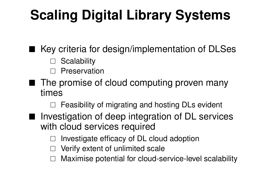## **Scaling Digital Library Systems**

■ Key criteria for design/implementation of DLSes

- Scalability
- □ Preservation
- The promise of cloud computing proven many times
	- Feasibility of migrating and hosting DLs evident
- Investigation of deep integration of DL services with cloud services required
	- Investigate efficacy of DL cloud adoption
	- Verify extent of unlimited scale
	- Maximise potential for cloud-service-level scalability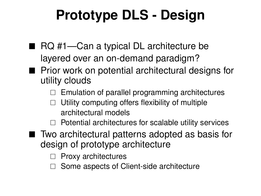# **Prototype DLS - Design**

- RQ #1—Can a typical DL architecture be layered over an on-demand paradigm?
- $\blacksquare$  Prior work on potential architectural designs for utility clouds
	- $\Box$  Emulation of parallel programming architectures
	- Utility computing offers flexibility of multiple architectural models
	- Potential architectures for scalable utility services
- Two architectural patterns adopted as basis for design of prototype architecture
	- $\Box$  Proxy architectures
	- Some aspects of Client-side architecture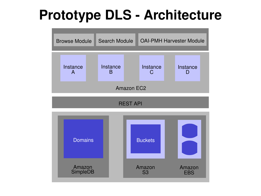## **Prototype DLS - Architecture**

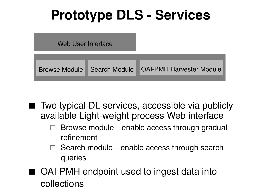## **Prototype DLS - Services**



■ Two typical DL services, accessible via publicly available Light-weight process Web interface

- Browse module—enable access through gradual refinement
- $\Box$  Search module—enable access through search queries
- OAI-PMH endpoint used to ingest data into collections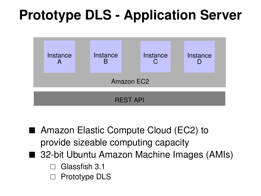## **Prototype DLS - Application Server**



- Amazon Elastic Compute Cloud (EC2) to provide sizeable computing capacity
- 32-bit Ubuntu Amazon Machine Images (AMIs)
	- Glassfish 3.1
	- Prototype DLS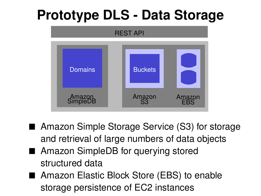## **Prototype DLS - Data Storage**



- Amazon Simple Storage Service (S3) for storage and retrieval of large numbers of data objects
- Amazon SimpleDB for querving stored structured data
- Amazon Elastic Block Store (EBS) to enable storage persistence of EC2 instances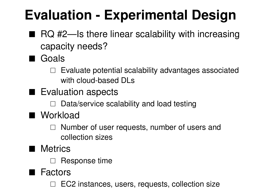# **Evaluation - Experimental Design**

- $\blacksquare$  RQ #2—Is there linear scalability with increasing capacity needs?
- Goals
	- $\Box$  Evaluate potential scalability advantages associated with cloud-based DLs
- Evaluation aspects
	- $\Box$  Data/service scalability and load testing
- Workload
	- $\Box$  Number of user requests, number of users and collection sizes
- **Metrics** 
	- $\Box$  Response time
- Factors
	- EC2 instances, users, requests, collection size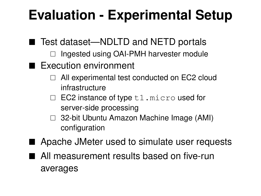## **Evaluation - Experimental Setup**

- Test dataset—NDLTD and NETD portals
	- $\Box$  Ingested using OAI-PMH harvester module
- Execution environment
	- $\Box$  All experimental test conducted on EC2 cloud infrastructure
	- $\Box$  EC2 instance of type  $t1$ . micro used for server-side processing
	- □ 32-bit Ubuntu Amazon Machine Image (AMI) configuration
- Apache JMeter used to simulate user requests
- All measurement results based on five-run averages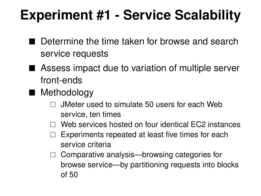## **Experiment #1 - Service Scalability**

- Determine the time taken for browse and search service requests
- Assess impact due to variation of multiple server front-ends
- Methodology
	- JMeter used to simulate 50 users for each Web service, ten times
	- Web services hosted on four identical EC2 instances
	- Experiments repeated at least five times for each service criteria
	- $\Box$  Comparative analysis—browsing categories for browse service—by partitioning requests into blocks of 50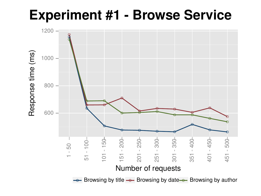**Experiment #1 - Browse Service**

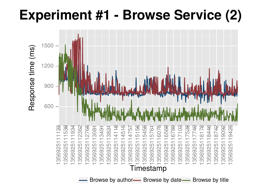## **Experiment #1 - Browse Service (2)**

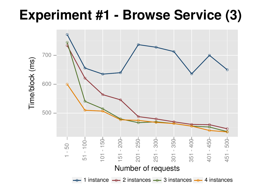## **Experiment #1 - Browse Service (3)**

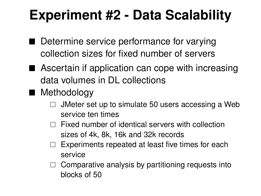## **Experiment #2 - Data Scalability**

- Determine service performance for varying collection sizes for fixed number of servers
- Ascertain if application can cope with increasing data volumes in DL collections
- Methodology
	- JMeter set up to simulate 50 users accessing a Web service ten times
	- $\Box$  Fixed number of identical servers with collection sizes of 4k, 8k, 16k and 32k records
	- Experiments repeated at least five times for each service
	- $\Box$  Comparative analysis by partitioning requests into blocks of 50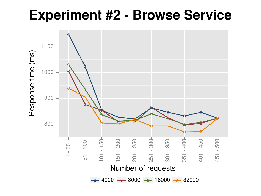### **Experiment #2 - Browse Service**

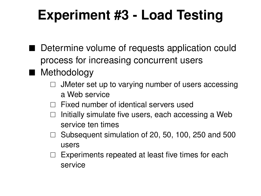## **Experiment #3 - Load Testing**

- Determine volume of requests application could process for increasing concurrent users
- Methodology
	- JMeter set up to varying number of users accessing a Web service
	- $\Box$  Fixed number of identical servers used
	- Initially simulate five users, each accessing a Web service ten times
	- $\Box$  Subsequent simulation of 20, 50, 100, 250 and 500 users
	- $\Box$  Experiments repeated at least five times for each service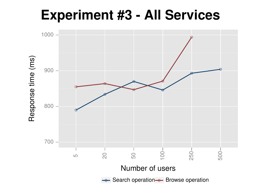### **Experiment #3 - All Services**

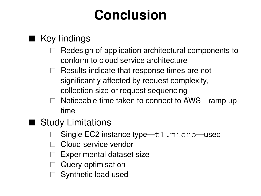## **Conclusion**

#### ■ Key findings

- Redesign of application architectural components to conform to cloud service architecture
- $\Box$  Results indicate that response times are not significantly affected by request complexity, collection size or request sequencing
- $\Box$  Noticeable time taken to connect to AWS—ramp up time
- Study Limitations
	- Single EC2 instance type—t1.micro—used
	- Cloud service vendor
	- Experimental dataset size
	- $\Box$  Query optimisation
	- Synthetic load used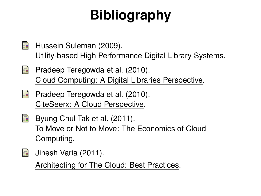# **Bibliography**

- Hussein Suleman (2009). 暈 Utility-based High Performance Digital Library Systems.
- 暈 Pradeep Teregowda et al. (2010). Cloud Computing: A Digital Libraries Perspective.
- 暈 Pradeep Teregowda et al. (2010). CiteSeerx: A Cloud Perspective.
- Byung Chul Tak et al. (2011). 暈 To Move or Not to Move: The Economics of Cloud Computing.
- H Jinesh Varia (2011).

Architecting for The Cloud: Best Practices.